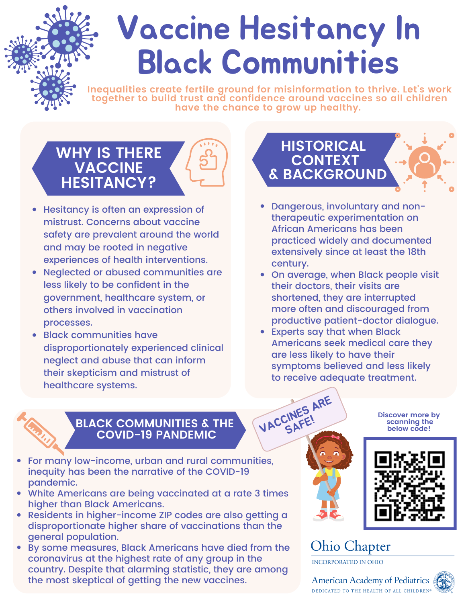# Vaccine Hesitancy In Black Communities

**Inequalities create fertile ground for misinformation to thrive. Let's work together to build trust and confidence around vaccines so all children have the chance to grow up healthy.**

### **WHY IS THERE VACCINE HESITANCY?**



- Hesitancy is often an expression of mistrust. Concerns about vaccine safety are prevalent around the world and may be rooted in negative experiences of health interventions.
- Neglected or abused communities are less likely to be confident in the government, healthcare system, or others involved in vaccination processes.
- Black communities have disproportionately experienced clinical neglect and abuse that can inform their skepticism and mistrust of healthcare systems.

## **HISTORICAL CONTEXT & BACKGROUND**

- Dangerous, involuntary and nontherapeutic experimentation on African Americans has been practiced widely and documented extensively since at least the 18th century.
- On average, when Black people visit their doctors, their visits are shortened, they are interrupted more often and discouraged from productive patient-doctor dialogue.
- Experts say that when Black Americans seek medical care they are less likely to have their symptoms believed and less likely to receive adequate treatment.

VACCINES ARE



### **BLACK COMMUNITIES & THE COVID-19 PANDEMIC**

- For many low-income, urban and rural communities, inequity has been the narrative of the COVID-19 pandemic.
- White Americans are being vaccinated at a rate 3 times higher than Black Americans.
- Residents in higher-income ZIP codes are also getting a disproportionate higher share of vaccinations than the general population.
- By some measures, Black Americans have died from the coronavirus at the highest rate of any group in the country. Despite that alarming statistic, they are among the most skeptical of getting the new vaccines.

**Discover more by scanning the below code!**



### **Ohio Chapter**

**INCORPORATED IN OHIO** 

American Academy of Pediatrics DEDICATED TO THE HEALTH OF ALL CHILDREN®